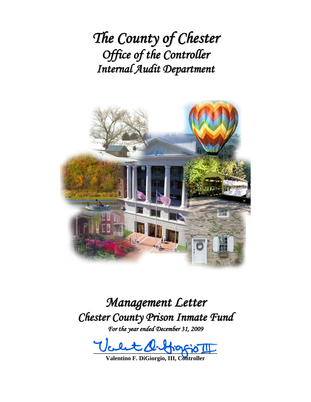*The County of Chester Office of the Controller Internal Audit Department*



*Management Letter Chester County Prison Inmate Fund*

*For the year ended December 31, 2009*

 $U$ celet  $A$  fraggio III

**Valentino F. DiGiorgio, III, Controller**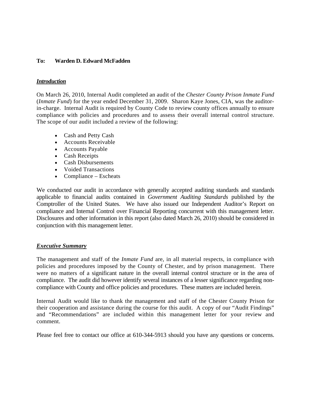### **To: Warden D. Edward McFadden**

### *Introduction*

On March 26, 2010, Internal Audit completed an audit of the *Chester County Prison Inmate Fund* (*Inmate Fund*) for the year ended December 31, 2009. Sharon Kaye Jones, CIA, was the auditorin-charge. Internal Audit is required by County Code to review county offices annually to ensure compliance with policies and procedures and to assess their overall internal control structure. The scope of our audit included a review of the following:

- Cash and Petty Cash
- Accounts Receivable
- Accounts Payable
- Cash Receipts
- Cash Disbursements
- Voided Transactions
- Compliance Escheats

We conducted our audit in accordance with generally accepted auditing standards and standards applicable to financial audits contained in *Government Auditing Standards* published by the Comptroller of the United States. We have also issued our Independent Auditor's Report on compliance and Internal Control over Financial Reporting concurrent with this management letter. Disclosures and other information in this report (also dated March 26, 2010) should be considered in conjunction with this management letter.

### *Executive Summary*

The management and staff of the *Inmate Fund* are, in all material respects, in compliance with policies and procedures imposed by the County of Chester, and by prison management. There were no matters of a significant nature in the overall internal control structure or in the area of compliance. The audit did however identify several instances of a lesser significance regarding noncompliance with County and office policies and procedures. These matters are included herein.

Internal Audit would like to thank the management and staff of the Chester County Prison for their cooperation and assistance during the course for this audit. A copy of our "Audit Findings" and "Recommendations" are included within this management letter for your review and comment.

Please feel free to contact our office at 610-344-5913 should you have any questions or concerns.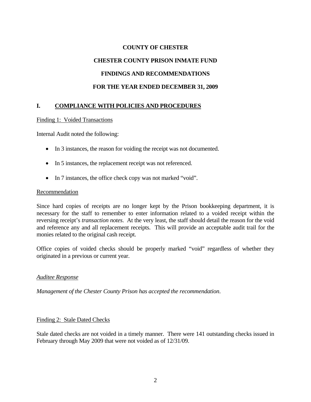# **COUNTY OF CHESTER CHESTER COUNTY PRISON INMATE FUND FINDINGS AND RECOMMENDATIONS FOR THE YEAR ENDED DECEMBER 31, 2009**

## **I. COMPLIANCE WITH POLICIES AND PROCEDURES**

### Finding 1: Voided Transactions

Internal Audit noted the following:

- In 3 instances, the reason for voiding the receipt was not documented.
- In 5 instances, the replacement receipt was not referenced.
- In 7 instances, the office check copy was not marked "void".

### Recommendation

Since hard copies of receipts are no longer kept by the Prison bookkeeping department, it is necessary for the staff to remember to enter information related to a voided receipt within the reversing receipt's *transaction notes*. At the very least, the staff should detail the reason for the void and reference any and all replacement receipts. This will provide an acceptable audit trail for the monies related to the original cash receipt.

Office copies of voided checks should be properly marked "void" regardless of whether they originated in a previous or current year.

### *Auditee Response*

*Management of the Chester County Prison has accepted the recommendation*.

### Finding 2: Stale Dated Checks

Stale dated checks are not voided in a timely manner. There were 141 outstanding checks issued in February through May 2009 that were not voided as of 12/31/09.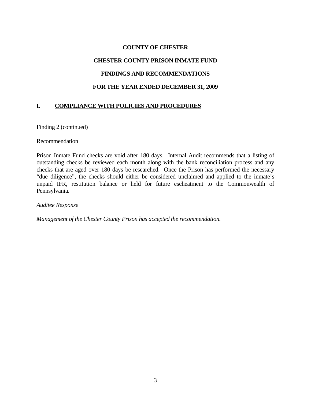## **COUNTY OF CHESTER CHESTER COUNTY PRISON INMATE FUND FINDINGS AND RECOMMENDATIONS FOR THE YEAR ENDED DECEMBER 31, 2009**

## **I. COMPLIANCE WITH POLICIES AND PROCEDURES**

### Finding 2 (continued)

### **Recommendation**

Prison Inmate Fund checks are void after 180 days. Internal Audit recommends that a listing of outstanding checks be reviewed each month along with the bank reconciliation process and any checks that are aged over 180 days be researched. Once the Prison has performed the necessary "due diligence", the checks should either be considered unclaimed and applied to the inmate's unpaid IFR, restitution balance or held for future escheatment to the Commonwealth of Pennsylvania.

#### *Auditee Response*

*Management of the Chester County Prison has accepted the recommendation.*